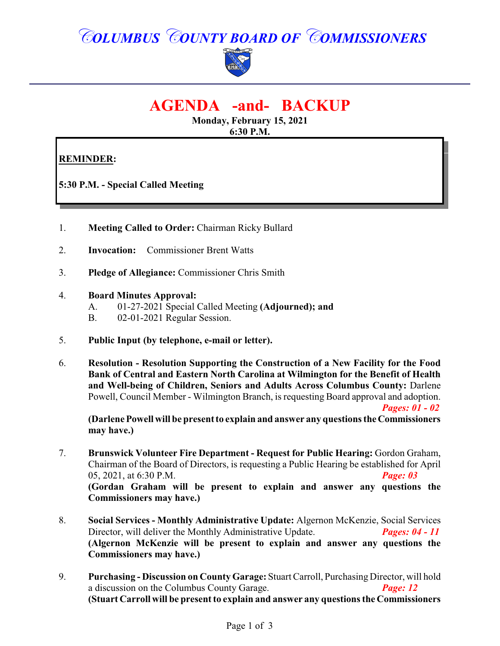## *COLUMBUS COUNTY BOARD OF COMMISSIONERS*



### **AGENDA -and- BACKUP**

**Monday, February 15, 2021 6:30 P.M.**

### **REMINDER:**

**5:30 P.M. - Special Called Meeting**

- 1. **Meeting Called to Order:** Chairman Ricky Bullard
- 2. **Invocation:** Commissioner Brent Watts
- 3. **Pledge of Allegiance:** Commissioner Chris Smith
- 4. **Board Minutes Approval:**
	- A. 01-27-2021 Special Called Meeting **(Adjourned); and**
	- B. 02-01-2021 Regular Session.
- 5. **Public Input (by telephone, e-mail or letter).**
- 6. **Resolution Resolution Supporting the Construction of a New Facility for the Food Bank of Central and Eastern North Carolina at Wilmington for the Benefit of Health and Well-being of Children, Seniors and Adults Across Columbus County:** Darlene Powell, Council Member - Wilmington Branch, is requesting Board approval and adoption. *Pages: 01 - 02*

**(Darlene Powell will be present to explain and answer any questions theCommissioners may have.)**

- 7. **Brunswick Volunteer Fire Department Request for Public Hearing:** Gordon Graham, Chairman of the Board of Directors, is requesting a Public Hearing be established for April 05, 2021, at 6:30 P.M. *Page: 03* **(Gordan Graham will be present to explain and answer any questions the Commissioners may have.)**
- 8. **Social Services Monthly Administrative Update:** Algernon McKenzie, Social Services Director, will deliver the Monthly Administrative Update. *Pages: 04 - 11* **(Algernon McKenzie will be present to explain and answer any questions the Commissioners may have.)**
- 9. **Purchasing Discussion on County Garage:** Stuart Carroll, Purchasing Director, will hold a discussion on the Columbus County Garage. *Page: 12* **(Stuart Carroll will be present to explain and answer any questions the Commissioners**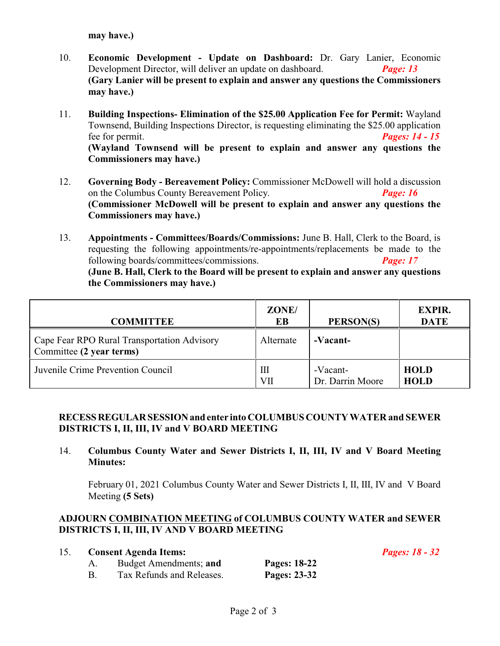**may have.)**

- 10. **Economic Development Update on Dashboard:** Dr. Gary Lanier, Economic Development Director, will deliver an update on dashboard. *Page: 13* **(Gary Lanier will be present to explain and answer any questions the Commissioners may have.)**
- 11. **Building Inspections- Elimination of the \$25.00 Application Fee for Permit:** Wayland Townsend, Building Inspections Director, is requesting eliminating the \$25.00 application fee for permit. *Pages: 14 - 15* **(Wayland Townsend will be present to explain and answer any questions the Commissioners may have.)**
- 12. **Governing Body Bereavement Policy:** Commissioner McDowell will hold a discussion on the Columbus County Bereavement Policy. *Page: 16* **(Commissioner McDowell will be present to explain and answer any questions the Commissioners may have.)**
- 13. **Appointments Committees/Boards/Commissions:** June B. Hall, Clerk to the Board, is requesting the following appointments/re-appointments/replacements be made to the following boards/committees/commissions. *Page: 17* **(June B. Hall, Clerk to the Board will be present to explain and answer any questions the Commissioners may have.)**

| <b>COMMITTEE</b>                                                        | ZONE/<br>EВ | PERSON(S)                    | <b>EXPIR.</b><br><b>DATE</b> |
|-------------------------------------------------------------------------|-------------|------------------------------|------------------------------|
| Cape Fear RPO Rural Transportation Advisory<br>Committee (2 year terms) | Alternate   | -Vacant-                     |                              |
| Juvenile Crime Prevention Council                                       | Ш<br>VП     | -Vacant-<br>Dr. Darrin Moore | <b>HOLD</b><br><b>HOLD</b>   |

#### **RECESSREGULARSESSIONand enter into COLUMBUS COUNTY WATER and SEWER DISTRICTS I, II, III, IV and V BOARD MEETING**

14. **Columbus County Water and Sewer Districts I, II, III, IV and V Board Meeting Minutes:**

February 01, 2021 Columbus County Water and Sewer Districts I, II, III, IV and V Board Meeting **(5 Sets)**

#### **ADJOURN COMBINATION MEETING of COLUMBUS COUNTY WATER and SEWER DISTRICTS I, II, III, IV AND V BOARD MEETING**

| 15. | <b>Consent Agenda Items:</b> |              | <b>Pages: 18 - 32</b> |
|-----|------------------------------|--------------|-----------------------|
|     | Budget Amendments; and       | Pages: 18-22 |                       |
|     | Tax Refunds and Releases.    | Pages: 23-32 |                       |